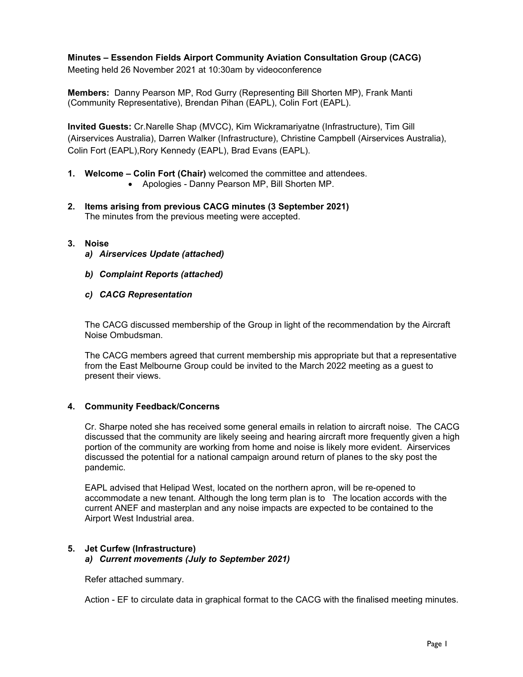# **Minutes – Essendon Fields Airport Community Aviation Consultation Group (CACG)**

Meeting held 26 November 2021 at 10:30am by videoconference

**Members:** Danny Pearson MP, Rod Gurry (Representing Bill Shorten MP), Frank Manti (Community Representative), Brendan Pihan (EAPL), Colin Fort (EAPL).

**Invited Guests:** Cr.Narelle Shap (MVCC), Kim Wickramariyatne (Infrastructure), Tim Gill (Airservices Australia), Darren Walker (Infrastructure), Christine Campbell (Airservices Australia), Colin Fort (EAPL),Rory Kennedy (EAPL), Brad Evans (EAPL).

- **1. Welcome Colin Fort (Chair)** welcomed the committee and attendees.
	- Apologies Danny Pearson MP, Bill Shorten MP.
- **2. Items arising from previous CACG minutes (3 September 2021)**  The minutes from the previous meeting were accepted.

#### **3. Noise**

- *a) Airservices Update (attached)*
- *b) Complaint Reports (attached)*
- *c) CACG Representation*

The CACG discussed membership of the Group in light of the recommendation by the Aircraft Noise Ombudsman.

The CACG members agreed that current membership mis appropriate but that a representative from the East Melbourne Group could be invited to the March 2022 meeting as a guest to present their views.

## **4. Community Feedback/Concerns**

Cr. Sharpe noted she has received some general emails in relation to aircraft noise. The CACG discussed that the community are likely seeing and hearing aircraft more frequently given a high portion of the community are working from home and noise is likely more evident. Airservices discussed the potential for a national campaign around return of planes to the sky post the pandemic.

EAPL advised that Helipad West, located on the northern apron, will be re-opened to accommodate a new tenant. Although the long term plan is to The location accords with the current ANEF and masterplan and any noise impacts are expected to be contained to the Airport West Industrial area.

## **5. Jet Curfew (Infrastructure)**  *a) Current movements (July to September 2021)*

Refer attached summary.

Action - EF to circulate data in graphical format to the CACG with the finalised meeting minutes.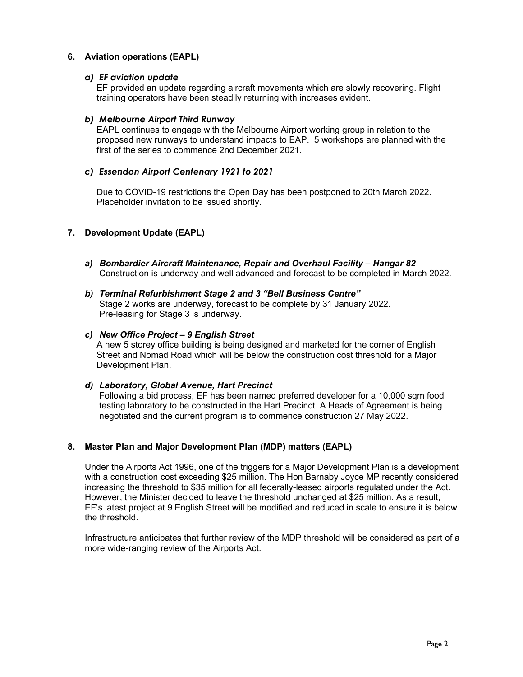# **6. Aviation operations (EAPL)**

## *a) EF aviation update*

EF provided an update regarding aircraft movements which are slowly recovering. Flight training operators have been steadily returning with increases evident.

## *b) Melbourne Airport Third Runway*

EAPL continues to engage with the Melbourne Airport working group in relation to the proposed new runways to understand impacts to EAP. 5 workshops are planned with the first of the series to commence 2nd December 2021.

## *c) Essendon Airport Centenary 1921 to 2021*

Due to COVID-19 restrictions the Open Day has been postponed to 20th March 2022. Placeholder invitation to be issued shortly.

## **7. Development Update (EAPL)**

*a) Bombardier Aircraft Maintenance, Repair and Overhaul Facility – Hangar 82*  Construction is underway and well advanced and forecast to be completed in March 2022.

#### *b) Terminal Refurbishment Stage 2 and 3 "Bell Business Centre"*  Stage 2 works are underway, forecast to be complete by 31 January 2022. Pre-leasing for Stage 3 is underway.

#### *c) New Office Project – 9 English Street*

A new 5 storey office building is being designed and marketed for the corner of English Street and Nomad Road which will be below the construction cost threshold for a Major Development Plan.

## *d) Laboratory, Global Avenue, Hart Precinct*

Following a bid process, EF has been named preferred developer for a 10,000 sqm food testing laboratory to be constructed in the Hart Precinct. A Heads of Agreement is being negotiated and the current program is to commence construction 27 May 2022.

## **8. Master Plan and Major Development Plan (MDP) matters (EAPL)**

Under the Airports Act 1996, one of the triggers for a Major Development Plan is a development with a construction cost exceeding \$25 million. The Hon Barnaby Joyce MP recently considered increasing the threshold to \$35 million for all federally-leased airports regulated under the Act. However, the Minister decided to leave the threshold unchanged at \$25 million. As a result, EF's latest project at 9 English Street will be modified and reduced in scale to ensure it is below the threshold.

Infrastructure anticipates that further review of the MDP threshold will be considered as part of a more wide-ranging review of the Airports Act.